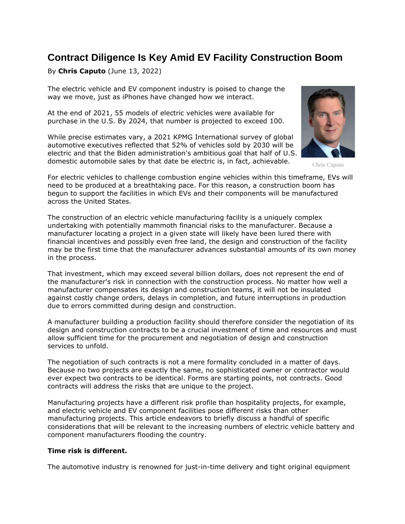# **Contract Diligence Is Key Amid EV Facility Construction Boom**

By **Chris Caputo** (June 13, 2022)

The electric vehicle and EV component industry is poised to change the way we move, just as iPhones have changed how we interact.

At the end of 2021, 55 models of electric vehicles were available for purchase in the U.S. By 2024, that number is projected to exceed 100.

While precise estimates vary, a 2021 [KPMG International](https://www.law360.com/companies/kpmg-international) survey of global automotive executives reflected that 52% of vehicles sold by 2030 will be electric and that the Biden administration's ambitious goal that half of U.S. domestic automobile sales by that date be electric is, in fact, achievable.



Chris Caputo

For electric vehicles to challenge combustion engine vehicles within this timeframe, EVs will need to be produced at a breathtaking pace. For this reason, a construction boom has begun to support the facilities in which EVs and their components will be manufactured across the United States.

The construction of an electric vehicle manufacturing facility is a uniquely complex undertaking with potentially mammoth financial risks to the manufacturer. Because a manufacturer locating a project in a given state will likely have been lured there with financial incentives and possibly even free land, the design and construction of the facility may be the first time that the manufacturer advances substantial amounts of its own money in the process.

That investment, which may exceed several billion dollars, does not represent the end of the manufacturer's risk in connection with the construction process. No matter how well a manufacturer compensates its design and construction teams, it will not be insulated against costly change orders, delays in completion, and future interruptions in production due to errors committed during design and construction.

A manufacturer building a production facility should therefore consider the negotiation of its design and construction contracts to be a crucial investment of time and resources and must allow sufficient time for the procurement and negotiation of design and construction services to unfold.

The negotiation of such contracts is not a mere formality concluded in a matter of days. Because no two projects are exactly the same, no sophisticated owner or contractor would ever expect two contracts to be identical. Forms are starting points, not contracts. Good contracts will address the risks that are unique to the project.

Manufacturing projects have a different risk profile than hospitality projects, for example, and electric vehicle and EV component facilities pose different risks than other manufacturing projects. This article endeavors to briefly discuss a handful of specific considerations that will be relevant to the increasing numbers of electric vehicle battery and component manufacturers flooding the country.

## **Time risk is different.**

The automotive industry is renowned for just-in-time delivery and tight original equipment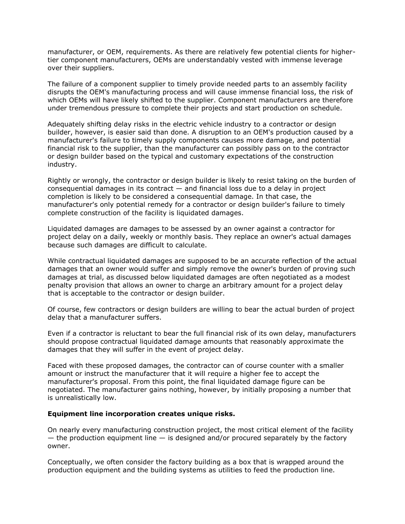manufacturer, or OEM, requirements. As there are relatively few potential clients for highertier component manufacturers, OEMs are understandably vested with immense leverage over their suppliers.

The failure of a component supplier to timely provide needed parts to an assembly facility disrupts the OEM's manufacturing process and will cause immense financial loss, the risk of which OEMs will have likely shifted to the supplier. Component manufacturers are therefore under tremendous pressure to complete their projects and start production on schedule.

Adequately shifting delay risks in the electric vehicle industry to a contractor or design builder, however, is easier said than done. A disruption to an OEM's production caused by a manufacturer's failure to timely supply components causes more damage, and potential financial risk to the supplier, than the manufacturer can possibly pass on to the contractor or design builder based on the typical and customary expectations of the construction industry.

Rightly or wrongly, the contractor or design builder is likely to resist taking on the burden of consequential damages in its contract — and financial loss due to a delay in project completion is likely to be considered a consequential damage. In that case, the manufacturer's only potential remedy for a contractor or design builder's failure to timely complete construction of the facility is liquidated damages.

Liquidated damages are damages to be assessed by an owner against a contractor for project delay on a daily, weekly or monthly basis. They replace an owner's actual damages because such damages are difficult to calculate.

While contractual liquidated damages are supposed to be an accurate reflection of the actual damages that an owner would suffer and simply remove the owner's burden of proving such damages at trial, as discussed below liquidated damages are often negotiated as a modest penalty provision that allows an owner to charge an arbitrary amount for a project delay that is acceptable to the contractor or design builder.

Of course, few contractors or design builders are willing to bear the actual burden of project delay that a manufacturer suffers.

Even if a contractor is reluctant to bear the full financial risk of its own delay, manufacturers should propose contractual liquidated damage amounts that reasonably approximate the damages that they will suffer in the event of project delay.

Faced with these proposed damages, the contractor can of course counter with a smaller amount or instruct the manufacturer that it will require a higher fee to accept the manufacturer's proposal. From this point, the final liquidated damage figure can be negotiated. The manufacturer gains nothing, however, by initially proposing a number that is unrealistically low.

## **Equipment line incorporation creates unique risks.**

On nearly every manufacturing construction project, the most critical element of the facility  $-$  the production equipment line  $-$  is designed and/or procured separately by the factory owner.

Conceptually, we often consider the factory building as a box that is wrapped around the production equipment and the building systems as utilities to feed the production line.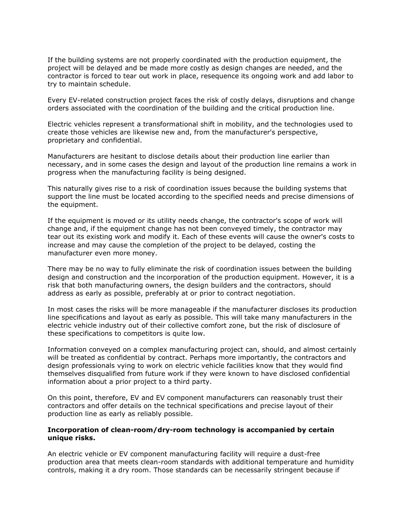If the building systems are not properly coordinated with the production equipment, the project will be delayed and be made more costly as design changes are needed, and the contractor is forced to tear out work in place, resequence its ongoing work and add labor to try to maintain schedule.

Every EV-related construction project faces the risk of costly delays, disruptions and change orders associated with the coordination of the building and the critical production line.

Electric vehicles represent a transformational shift in mobility, and the technologies used to create those vehicles are likewise new and, from the manufacturer's perspective, proprietary and confidential.

Manufacturers are hesitant to disclose details about their production line earlier than necessary, and in some cases the design and layout of the production line remains a work in progress when the manufacturing facility is being designed.

This naturally gives rise to a risk of coordination issues because the building systems that support the line must be located according to the specified needs and precise dimensions of the equipment.

If the equipment is moved or its utility needs change, the contractor's scope of work will change and, if the equipment change has not been conveyed timely, the contractor may tear out its existing work and modify it. Each of these events will cause the owner's costs to increase and may cause the completion of the project to be delayed, costing the manufacturer even more money.

There may be no way to fully eliminate the risk of coordination issues between the building design and construction and the incorporation of the production equipment. However, it is a risk that both manufacturing owners, the design builders and the contractors, should address as early as possible, preferably at or prior to contract negotiation.

In most cases the risks will be more manageable if the manufacturer discloses its production line specifications and layout as early as possible. This will take many manufacturers in the electric vehicle industry out of their collective comfort zone, but the risk of disclosure of these specifications to competitors is quite low.

Information conveyed on a complex manufacturing project can, should, and almost certainly will be treated as confidential by contract. Perhaps more importantly, the contractors and design professionals vying to work on electric vehicle facilities know that they would find themselves disqualified from future work if they were known to have disclosed confidential information about a prior project to a third party.

On this point, therefore, EV and EV component manufacturers can reasonably trust their contractors and offer details on the technical specifications and precise layout of their production line as early as reliably possible.

## **Incorporation of clean-room/dry-room technology is accompanied by certain unique risks.**

An electric vehicle or EV component manufacturing facility will require a dust-free production area that meets clean-room standards with additional temperature and humidity controls, making it a dry room. Those standards can be necessarily stringent because if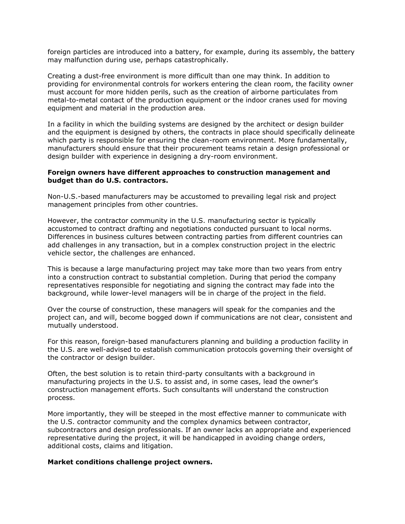foreign particles are introduced into a battery, for example, during its assembly, the battery may malfunction during use, perhaps catastrophically.

Creating a dust-free environment is more difficult than one may think. In addition to providing for environmental controls for workers entering the clean room, the facility owner must account for more hidden perils, such as the creation of airborne particulates from metal-to-metal contact of the production equipment or the indoor cranes used for moving equipment and material in the production area.

In a facility in which the building systems are designed by the architect or design builder and the equipment is designed by others, the contracts in place should specifically delineate which party is responsible for ensuring the clean-room environment. More fundamentally, manufacturers should ensure that their procurement teams retain a design professional or design builder with experience in designing a dry-room environment.

## **Foreign owners have different approaches to construction management and budget than do U.S. contractors.**

Non-U.S.-based manufacturers may be accustomed to prevailing legal risk and project management principles from other countries.

However, the contractor community in the U.S. manufacturing sector is typically accustomed to contract drafting and negotiations conducted pursuant to local norms. Differences in business cultures between contracting parties from different countries can add challenges in any transaction, but in a complex construction project in the electric vehicle sector, the challenges are enhanced.

This is because a large manufacturing project may take more than two years from entry into a construction contract to substantial completion. During that period the company representatives responsible for negotiating and signing the contract may fade into the background, while lower-level managers will be in charge of the project in the field.

Over the course of construction, these managers will speak for the companies and the project can, and will, become bogged down if communications are not clear, consistent and mutually understood.

For this reason, foreign-based manufacturers planning and building a production facility in the U.S. are well-advised to establish communication protocols governing their oversight of the contractor or design builder.

Often, the best solution is to retain third-party consultants with a background in manufacturing projects in the U.S. to assist and, in some cases, lead the owner's construction management efforts. Such consultants will understand the construction process.

More importantly, they will be steeped in the most effective manner to communicate with the U.S. contractor community and the complex dynamics between contractor, subcontractors and design professionals. If an owner lacks an appropriate and experienced representative during the project, it will be handicapped in avoiding change orders, additional costs, claims and litigation.

## **Market conditions challenge project owners.**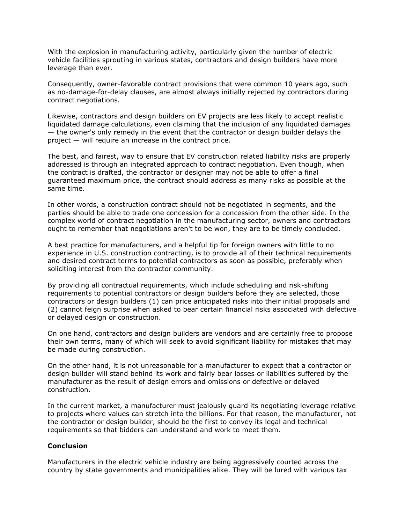With the explosion in manufacturing activity, particularly given the number of electric vehicle facilities sprouting in various states, contractors and design builders have more leverage than ever.

Consequently, owner-favorable contract provisions that were common 10 years ago, such as no-damage-for-delay clauses, are almost always initially rejected by contractors during contract negotiations.

Likewise, contractors and design builders on EV projects are less likely to accept realistic liquidated damage calculations, even claiming that the inclusion of any liquidated damages — the owner's only remedy in the event that the contractor or design builder delays the project — will require an increase in the contract price.

The best, and fairest, way to ensure that EV construction related liability risks are properly addressed is through an integrated approach to contract negotiation. Even though, when the contract is drafted, the contractor or designer may not be able to offer a final guaranteed maximum price, the contract should address as many risks as possible at the same time.

In other words, a construction contract should not be negotiated in segments, and the parties should be able to trade one concession for a concession from the other side. In the complex world of contract negotiation in the manufacturing sector, owners and contractors ought to remember that negotiations aren't to be won, they are to be timely concluded.

A best practice for manufacturers, and a helpful tip for foreign owners with little to no experience in U.S. construction contracting, is to provide all of their technical requirements and desired contract terms to potential contractors as soon as possible, preferably when soliciting interest from the contractor community.

By providing all contractual requirements, which include scheduling and risk-shifting requirements to potential contractors or design builders before they are selected, those contractors or design builders (1) can price anticipated risks into their initial proposals and (2) cannot feign surprise when asked to bear certain financial risks associated with defective or delayed design or construction.

On one hand, contractors and design builders are vendors and are certainly free to propose their own terms, many of which will seek to avoid significant liability for mistakes that may be made during construction.

On the other hand, it is not unreasonable for a manufacturer to expect that a contractor or design builder will stand behind its work and fairly bear losses or liabilities suffered by the manufacturer as the result of design errors and omissions or defective or delayed construction.

In the current market, a manufacturer must jealously guard its negotiating leverage relative to projects where values can stretch into the billions. For that reason, the manufacturer, not the contractor or design builder, should be the first to convey its legal and technical requirements so that bidders can understand and work to meet them.

## **Conclusion**

Manufacturers in the electric vehicle industry are being aggressively courted across the country by state governments and municipalities alike. They will be lured with various tax